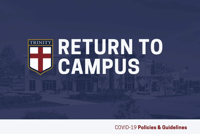# ES RETURNTO

**COVID-19 Policies & Guidelines**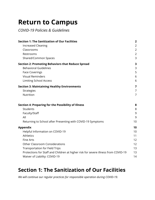# **Return to Campus**

*COVID-19 Policies & Guidelines*

| <b>Section 1: The Sanitization of Our Facilities</b>                               | $\overline{2}$ |
|------------------------------------------------------------------------------------|----------------|
| <b>Increased Cleaning</b>                                                          | $\overline{2}$ |
| Classrooms                                                                         | $\overline{2}$ |
| Restrooms                                                                          | $\overline{2}$ |
| Shared/Common Spaces                                                               | 3              |
| <b>Section 2: Promoting Behaviors that Reduce Spread</b>                           | 3              |
| <b>Behavioral Guidelines</b>                                                       | 3              |
| <b>Face Coverings</b>                                                              | 5              |
| <b>Visual Reminders</b>                                                            | $6\,$          |
| <b>Limiting School Access</b>                                                      | 6              |
| <b>Section 3: Maintaining Healthy Environments</b>                                 | 7              |
| Strategies                                                                         | $\overline{7}$ |
| Nutrition                                                                          | $\overline{7}$ |
| <b>Section 4: Preparing for the Possibility of Illness</b>                         | 8              |
| <b>Students</b>                                                                    | 8              |
| Faculty/Staff                                                                      | 9              |
| All                                                                                | 9              |
| Returning to School after Presenting with COVID-19 Symptoms                        | 10             |
| <b>Appendix</b>                                                                    | 10             |
| Helpful Information on COVID-19                                                    | 10             |
| Athletics                                                                          | 11             |
| <b>Fine Arts</b>                                                                   | 12             |
| <b>Other Classroom Considerations</b>                                              | 12             |
| <b>Transportation for Field Trips</b>                                              | 13             |
| Protections for Staff and Children at higher risk for severe illness from COVID-19 | 13             |
| Waiver of Liability: COVID-19                                                      | 14             |

## <span id="page-1-0"></span>**Section 1: The Sanitization of Our Facilities**

*We will continue our regular practices for responsible operation during COVID-19.*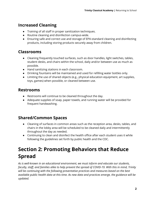## <span id="page-2-0"></span>**Increased Cleaning**

- Training of all staff in proper sanitization techniques.
- Routine cleaning and disinfection campus-wide.
- Ensuring safe and correct use and storage of EPA-standard cleaning and disinfecting products, including storing products securely away from children.

## <span id="page-2-1"></span>**Classrooms**

- Cleaning frequently touched surfaces, such as door handles, light switches, tables, student desks, and chairs within the school, daily and/or between use as much as possible.
- Hand sanitizing stations in each classroom.
- Drinking fountains will be maintained and used for refilling water bottles only.
- Limiting the use of shared objects (e.g., physical education equipment, art supplies, toys, games) when possible, or cleaned between use.

#### <span id="page-2-2"></span>**Restrooms**

- Restrooms will continue to be cleaned throughout the day.
- Adequate supplies of soap, paper towels, and running water will be provided for frequent handwashing.

## <span id="page-2-3"></span>**Shared/Common Spaces**

- Cleaning of surfaces in common areas such as the reception area, desks, tables, and chairs in the lobby area will be scheduled to be cleaned daily and intermittently throughout the day as needed.
- Continuing to clean and disinfect the health office after each student uses it while following the guidelines set forth by public health and the CDC.

## <span id="page-2-4"></span>**Section 2: Promoting Behaviors that Reduce Spread**

*As is well-known in an educational environment, we must inform and educate our students, faculty, staff, and families alike to help prevent the spread of COVID-19. With this in mind, Trinity will be continuing with the following preventative practices and measures based on the best available public health data at this time. As new data and practices emerge, the guidance will be updated.*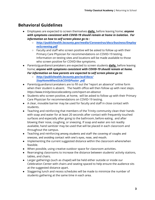## <span id="page-3-0"></span>**Behavioral Guidelines**

- Employees are expected to screen themselves **daily,** before leaving home; *anyone with symptoms consistent with COVID-19 should remain at home in isolation. For information on how to self screen please go to :*
	- *[http://publichealth.lacounty.gov/media/Coronavirus/docs/business/Employ](http://publichealth.lacounty.gov/media/Coronavirus/docs/business/EmployeeScreening.pdf) [eeScreening.pdf](http://publichealth.lacounty.gov/media/Coronavirus/docs/business/EmployeeScreening.pdf)*
	- Faculty and staff who screen positive will be asked to follow up with their Primary Care Physician for recommendations on COVID-19 testing. Information on testing sites and locations will be made available to those who screen positive for COVID-like symptoms.
- Parents/guardians/caretakers are expected to screen students **daily,** before leaving home; *anyone with symptoms consistent with COVID-19 should remain at home. For information on how parents are expected to self screen please go to:*
	- *[http://publichealth.lacounty.gov/acd/docs/](http://publichealth.lacounty.gov/acd/docs/StayHomeWhenSickCOVIDPoster.pdf) StayHomeWhenSickCOVIDPoster [.pdf](http://publichealth.lacounty.gov/acd/docs/StayHomeWhenSickCOVIDPoster.pdf)*
- Parents/guardians/caretakers are to fill out the "report an absence" online form when their student is absent. The health office will then follow up with next steps. *https://www.trinityclassicalacademy.com/report-an-absence*
- Students who screen positive, at home, will be asked to follow up with their Primary Care Physician for recommendations on COVID-19 testing.
- A clear, movable barrier may be used for faculty and staff in close contact with students.
- Teaching and reinforcing that members of the Trinity community clean their hands with soap and water for at least 20 seconds after contact with frequently touched surfaces and especially after going to the bathroom, before eating, and after blowing their nose, coughing, or sneezing. If soap and water are not readily available, hand sanitizer may be used that will be placed in each classroom and throughout the campus.
- Teaching and reinforcing among students and staff the covering of coughs and sneezes, and avoiding contact with one's eyes, nose, and mouth.
- Implementing the current suggested distance within the classroom where/when feasible.
- When possible, using creative outdoor space for classroom activities.
- Rearranging classrooms to increase the distance between students' activity stations, tables, and chairs.
- Larger gatherings (such as chapel) will be held either outside or inside our Celebration Center with chairs and seating spaced to help ensure the audience sits at the suggested distance apart.
- Staggering lunch and recess schedules will be made to minimize the number of students gathering at the same time in each area.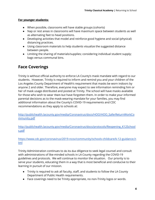#### **For younger students:**

- When possible, classrooms will have stable groups (cohorts)
- Nap or rest areas in classrooms will have maximum space between students as well as alternating feet to head positions.
- Developing activities that model and reinforce good hygiene and social (physical) distancing practices.
- Using classroom materials to help students visualize the suggested distance between people.
- Limiting the sharing of materials/supplies; considering individual student supply; bags versus communal bins.

## <span id="page-4-0"></span>**Face Coverings**

Trinity is without official authority to enforce LA County's mask mandate with regard to our students. However, Trinity is required to inform and remind you and your children of the Los Angeles County Department of Health's requirement that masks be worn indoors by anyone 2 and older. Therefore, everyone may expect to see information reminding him or her of mask usage distributed and posted at Trinity. The school will have masks available for those who wish to wear them but have forgotten them. In order to make your informed parental decisions as to the mask-wearing mandate for your families, you may find additional information about the County's COVID-19 requirements and CDC recommendations as they apply to schools at:

[http://publichealth.lacounty.gov/media/Coronavirus/docs/HOO/HOO\\_SaferReturnWorkCo](http://publichealth.lacounty.gov/media/Coronavirus/docs/HOO/HOO_SaferReturnWorkCommunity.pdf) [mmunity.pdf](http://publichealth.lacounty.gov/media/Coronavirus/docs/HOO/HOO_SaferReturnWorkCommunity.pdf)

[http://publichealth.lacounty.gov/media/Coronavirus/docs/protocols/Reopening\\_K12School](http://publichealth.lacounty.gov/media/Coronavirus/docs/protocols/Reopening_K12Schools.pdf) [s.pdf](http://publichealth.lacounty.gov/media/Coronavirus/docs/protocols/Reopening_K12Schools.pdf)

[https://www.cdc.gov/coronavirus/2019-ncov/community/schools-childcare/k-12-guidance.h](https://www.cdc.gov/coronavirus/2019-ncov/community/schools-childcare/k-12-guidance.html) [tml](https://www.cdc.gov/coronavirus/2019-ncov/community/schools-childcare/k-12-guidance.html)

Trinity Administration continues to do its due diligence to seek legal counsel and consult with administrations of like-minded schools in LA County regarding the COVID-19 guidelines and protocols. We will continue to monitor the situation. Our priority is to serve your students, educating them in a way that is most beneficial and conducive to their learning in pursuit of our mission.

- Trinity is required to ask all faculty, staff, and students to follow the LA County Department of Public Health requirements.
- Face coverings need to be Trinity appropriate, no non-Trinity logos or words.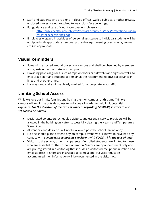- Staff and students who are alone in closed offices, walled cubicles, or other private, enclosed spaces are not required to wear cloth face coverings.
- For guidance and care of cloth face coverings please visit:
	- [http://publichealth.lacounty.gov/media/Coronavirus/docs/protection/Guidan](http://publichealth.lacounty.gov/media/Coronavirus/docs/protection/GuidanceClothFaceCoverings.pdf) [ceClothFaceCoverings.pdf](http://publichealth.lacounty.gov/media/Coronavirus/docs/protection/GuidanceClothFaceCoverings.pdf)
- Employees engaged in activities of personal assistance to individual students will be equipped with appropriate personal protective equipment (gloves, masks, gowns, etc.) as appropriate.

#### <span id="page-5-0"></span>**Visual Reminders**

- Signs will be posted around our school campus and shall be observed by members and guests upon their return to campus.
- Providing physical guides, such as tape on floors or sidewalks and signs on walls, to encourage staff and students to remain at the recommended physical distance in lines and at other times.
- Hallways and stairs will be clearly marked for appropriate foot traffic.

## <span id="page-5-1"></span>**Limiting School Access**

While we love our Trinity families and having them on campus, at this time Trinity's campus will minimize outside access to individuals in order to help limit potential exposure. *For the duration of the current concern regarding COVID-19, visitors to our school will be limited.*

- Designated volunteers, scheduled visitors, and essential service providers will be allowed in the building only after successfully clearing the Health and Temperature Screenings.
- All vendors and deliveries will not be allowed past the school's front lobby.
- No one should plan to attend any on-campus event who is known to have had any contact with *anyone with symptoms consistent with COVID-19 in the last 10 days.*
- Visitors to the school, other than parents of enrolled students, are limited to those who are essential for the school's operation. Visitors are by appointment only and are pre-registered in a visitor log that includes a visitor's name, phone number, and email address. Visitors are instructed to come alone. If a visitor must be accompanied their information will be documented in the visitor log.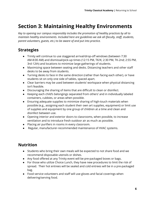## <span id="page-6-0"></span>**Section 3: Maintaining Healthy Environments**

*Key to opening our campus responsibly includes the promotion of healthy practices by all to maintain healthy environments. Included here are guidelines we ask all (faculty, staff, students, parent volunteers, guests, etc.) to be aware of and put into practice.*

## <span id="page-6-1"></span>**Strategies**

- Trinity will continue to use staggered arrival/drop-off windows (between 7:30 AM-8:00 AM) and dismissal/pick-up times (12:15 PM, TK/K; 2:30 PM, TK-2nd; 2:55 PM, 3rd-12th) and locations to minimize large gatherings of students.
- Maximizing space between seating and desks. Distancing teachers and other staff desks to be away from students.
- Turning desks to face in the same direction (rather than facing each other), or have students sit on only one side of tables, spaced apart.
- Clear barriers may be used between students' workspace when physical distancing isn't feasible.
- Discouraging the sharing of items that are difficult to clean or disinfect.
- Keeping each child's belongings separated from others' and in individually labeled containers, cubbies, or areas when possible.
- Ensuring adequate supplies to minimize sharing of high-touch materials when possible (e.g., assigning each student their own art supplies, equipment) or limit use of supplies and equipment by one group of children at a time and clean and disinfect between use.
- Opening interior and exterior doors to classrooms, when possible, to increase ventilation and to introduce fresh outdoor air as much as possible.
- Placing air purifiers in rooms in every classroom.
- Regular, manufacturer-recommended maintenance of HVAC systems.

## <span id="page-6-2"></span>**Nutrition**

- Students who bring their own meals will be expected to not share food and we recommend disposable utensils or dishes.
- Any food offered at any Trinity event will be pre-packaged boxes or bags.
- For those who utilize Choice Lunch, they have new procedures to limit the risk of spread. Their hot entrees will be sealed and cold entrees will be in a pre-packaged bag.
- Food service volunteers and staff will use gloves and facial coverings when delivering/serving food.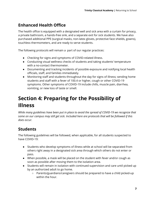## **Enhanced Health Office**

The health office is equipped with a designated well and sick area with a curtain for privacy, a private bathroom, a hands-free sink, and a separate exit for sick students. We have also purchased additional PPE (surgical masks, non-latex gloves, protective face shields, gowns), touchless thermometers, and are ready to serve students.

The following protocols will remain a part of our regular practices:

- Checking for signs and symptoms of COVID-related illness.
- Conducting visual wellness checks of students and taking students' temperature with a no-contact thermometer.
- Documenting and tracking incidents of possible exposure and notifying local health officials, staff, and families immediately.
- Monitoring staff and students throughout the day for signs of illness; sending home students and staff with a fever of 100.4 or higher, cough or other COVID-19 symptoms. Other symptoms of COVID-19 include chills, muscle pain, diarrhea, vomiting, or new loss of taste or smell.

## <span id="page-7-0"></span>**Section 4: Preparing for the Possibility of Illness**

*While many guidelines have been put in place to avoid the spread of COVID-19 we recognize that some on our campus may still get sick. Included here are protocols that will be followed if this does occur.*

## <span id="page-7-1"></span>**Students**

The following guidelines will be followed, when applicable, for all students suspected to have COVID-19:

- Students who develop symptoms of illness while at school will be separated from others right away in a designated sick area through which others do not enter or pass.
- When possible, a mask will be placed on the student with fever and/or cough as soon as possible after moving them to the isolation area.
- Students will remain in isolation with continued supervision and care until picked up by an authorized adult to go home.
	- Parents/guardians/caregivers should be prepared to have a child picked-up within the hour.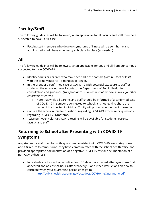## <span id="page-8-0"></span>**Faculty/Staff**

The following guidelines will be followed, when applicable, for all faculty and staff members suspected to have COVID-19:

● Faculty/staff members who develop symptoms of illness will be sent home and administration will have emergency sub plans in place (as needed).

## <span id="page-8-1"></span>**All**

The following guidelines will be followed, when applicable, for any and all from our campus suspected to have COVID-19:

- Identify adults or children who may have had close contact (within 6 feet or less) with the ill individual for 15 minutes or longer.
- In the event of a confirmed case of COVID-19 with potential exposure to staff or students, the school nurse will contact the Department of Public Health for consultation and guidance. *(This procedure is similar to what we have in place for other reportable diseases.)*
	- Note that while all parents and staff should be informed of a confirmed case of COVID-19 in someone connected to school, it is not legal to share the name of the infected individual. Trinity will protect confidential information.
- Contact the school nurse for questions regarding COVID-19 exposure or questions regarding COVID-19 symptoms.
- Twice per-week voluntary COVID testing will be available for students, parents, faculty, and staff.

## <span id="page-8-2"></span>**Returning to School after Presenting with COVID-19 Symptoms**

Any student or staff member with symptoms consistent with COVID-19 are to stay home and *not* return to campus until they have communicated with the school health office and provided appropriate documentation of a negative COVID-19 test or documentation of a non-COVID diagnosis.

- Individuals are to stay home until at least 10 days have passed after symptoms first appeared and at least 24 hours after recovery. For further instructions on how to calculate when your quarantine period ends go to:
	- <http://publichealth.lacounty.gov/acd/docs/COVHomeQuarantine.pdf>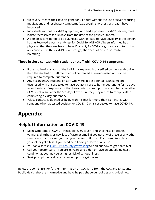- "Recovery" means their fever is gone for 24 hours without the use of fever-reducing medications and respiratory symptoms (e.g., cough, shortness of breath) have improved.
- Individuals without Covid-19 symptoms, who had a positive Covid-19 lab test, must isolate themselves for 10 days from the date of the positive lab test.
- A person is considered to be diagnosed with or likely to have Covid-19, if the person has: a) Received a positive lab test for Covid-19, AND/OR b)been informed by a physician that they are likely to have Covid-19, AND/OR c) signs and symptoms that are consistent with Covid-19 (fever, cough, shortness of breath or trouble breathing.)

#### **Those in close contact with student or staff with COVID-19 symptoms:**

- If the vaccination status of the individual exposed is unverified by the Health office then the student or staff member will be treated as unvaccinated and will be required to complete quarantine.
- Any *unvaccinated* students or staff who were in close contact with someone diagnosed with or suspected to have COVID-19 are to home-quarantine for 10 days from the date of exposure. If the close contact is asymptomatic and has a negative COVID test result after the 5th day of exposure they may return to campus after completing a 7 day quarantine.
- "Close contact" is defined as being within 6 feet for more than 15 minutes with someone who has tested positive for COVID-19 or is suspected to have COVID-19.

## <span id="page-9-0"></span>**Appendix**

## <span id="page-9-1"></span>**Helpful Information on COVID-19**

- Main symptoms of COVID-19 include fever, cough, and shortness of breath, vomiting, diarrhea, or new loss of taste or smell. If you get any of these or any other symptoms that concern you, call your doctor to find out if you need to isolate yourself or get a test. If you need help finding a doctor, call 2-1-1.
- You can also visit COVID19. lacounty.gov/testing to find out how to get a free test
- Call your doctor early if you are 65 years and older, or have an underlying health condition as you may be at higher risk of serious illness.
- Seek prompt medical care if your symptoms get worse.

Below are some links for further information on COVID-19 from the CDC and LA County Public Health that are informative and have helped shape our policies and guidelines: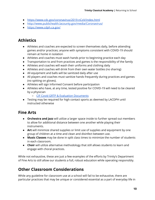- <https://www.cdc.gov/coronavirus/2019-nCoV/index.html>
- <http://www.publichealth.lacounty.gov/media/Coronavirus/>
- <https://www.cdph.ca.gov/>

## <span id="page-10-0"></span>**Athletics**

- Athletes and coaches are expected to screen themselves daily, before attending games and/or practices; anyone with symptoms consistent with COVID-19 should remain at home in isolation
- Athletes and coaches must wash hands prior to beginning practice each day
- Transportation to and from practices and games is the responsibility of the family
- Athletes and coaches will wash their uniforms and clothing daily
- Athletes and coaches will drink from their own water bottles (no sharing)
- All equipment and balls will be sanitized daily after use
- All players and coaches must sanitize hands frequently during practices and games (no spitting on gloves).
- Athletes will sign Informed Consent before participation
- Athletes who have, at any time, tested positive for COVID-19 will need to be cleared by a physician
	- CIF Covid GRTP & Evaluation [Documents](https://cifss.org/news/cif-covid-grtp-evaluation-documents/)
- Testing may be required for high contact sports as deemed by LACDPH until instructed otherwise

#### <span id="page-10-1"></span>**Fine Arts**

- **Orchestra and Jazz** will utilize a larger space inside to further spread out members to allow for additional distance between one another while playing their instruments.
- **Art** will minimize shared supplies or limit use of supplies and equipment by one group of children at a time and clean and disinfect between use.
- **Music Classes** may be done in split class times to minimize the number of students in each classroom.
- **Choir** will utilize alternative methodology that still allows students to learn and engage with choral practices.

While not exhaustive, these are just a few examples of the efforts by Trinity's Department of Fine Arts to still allow our students a full, robust education while operating responsibly.

## <span id="page-10-2"></span>**Other Classroom Considerations**

While any guideline for classroom use at a school will fail to be exhaustive, there are particular practices that may be unique or considered essential as a part of everyday life in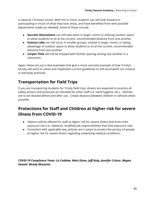a classical, Christian school. With this in mind, students can still look forward to participating in much of what they love, enjoy, and have benefited from with possible adjustments made (as needed). Some of these include:

- **Socratic Discussions** can still take place in larger rooms or utilizing outdoor space to allow students to sit at the current, recommended distance from one another.
- **Science Labs** can still occur in smaller groups, utilized in larger rooms, or taking advantage of outdoor space to allow students to sit at the current, recommended distance from one another.
- **Carpet Time** will still be enjoyed with further spacing among one another in a classroom.

Again, these are just a few examples that give a more concrete example of how Trinity's faculty will work to utilize and implement current guidelines to still accomplish our mission in everyday practices.

## <span id="page-11-0"></span>**Transportation for Field Trips**

If you are transporting students for Trinity field trips, drivers are expected to practice all safety actions and protocols as indicated for other staff (i.e. hand hygiene, etc.). Vehicles are to be cleaned before and after use. Create distance between children in vehicles when possible.

## <span id="page-11-1"></span>**Protections for Staff and Children at higher risk for severe illness from COVID-19**

- Options will be offered for staff at higher risk for severe illness that limits their exposure risk (i.e.; telework, modified job responsibilities that limit exposure risk).
- Consistent with applicable law, policies are in place to protect the privacy of people at higher risk for severe illness regarding underlying medical conditions.

*COVID-19 Compliance Team: Liz Caddow, Matt Dixon, Jeff Kulp, Jennifer Critser, Megan Howell, Wendy Massetto*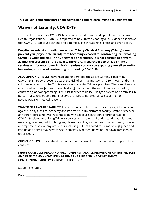**This waiver is currently part of our Admissions and re-enrollment documentation:**

#### <span id="page-12-0"></span>**Waiver of Liability: COVID-19**

The novel coronavirus, COVID-19, has been declared a worldwide pandemic by the World Health Organization. COVID-19 is reported to be extremely contagious. Evidence has shown that COVID-19 can cause serious and potentially life-threatening illness and even death.

**Despite our robust mitigation measures, Trinity Classical Academy (Trinity) cannot prevent you [or your child(ren)] from becoming exposed to, contracting, or spreading COVID-19 while utilizing Trinity's services or premises. It is not possible to prevent against the presence of the disease. Therefore, if you choose to utilize Trinity's services and/or enter onto Trinity's premises you may be exposing yourself to and/or increasing your risk of contracting or spreading COVID-19.**

**ASSUMPTION OF RISK:** I have read and understood the above warning concerning COVID-19. I hereby choose to accept the risk of contracting COVID-19 for myself and/or my children in order to utilize Trinity's services and enter Trinity's premises. These services are of such value to me [and/or to my children,] that I accept the risk of being exposed to, contracting, and/or spreading COVID-19 in order to utilize Trinity's services and premises in person. I also understand that I reserve the right to not wear a face covering for psychological or medical reasons.

**WAIVER OF LAWSUIT/LIABILITY:** I hereby forever release and waive my right to bring suit against Trinity Classical Academy and its owners, administrators, faculty, staff, trustees, or any other representatives in connection with exposure, infection, and/or spread of COVID-19 related to utilizing Trinity's services and premises. I understand that this waiver means I give up my right to bring any claims including for personal injuries, death, disease or property losses, or any other loss, including but not limited to claims of negligence and give up any claim I may have to seek damages, whether known or unknown, foreseen or unforeseen.

**CHOICE OF LAW:** I understand and agree that the law of the State of CA will apply to this contract.

**I HAVE CAREFULLY READ AND FULLY UNDERSTAND ALL PROVISIONS OF THIS RELEASE, AND FREELY AND KNOWINGLY ASSUME THE RISK AND WAIVE MY RIGHTS CONCERNING LIABILITY AS DESCRIBED ABOVE:**

Student Signature: \_\_\_\_\_\_\_\_\_\_\_\_\_\_\_\_\_\_\_\_\_\_\_\_\_\_\_\_\_\_\_\_\_\_\_\_\_\_\_\_\_\_\_\_

Date: \_\_\_\_\_\_\_\_\_\_\_\_\_\_\_\_\_\_\_\_\_\_\_\_\_\_\_\_\_\_\_\_\_\_\_\_\_\_\_\_\_\_\_\_\_\_\_\_\_